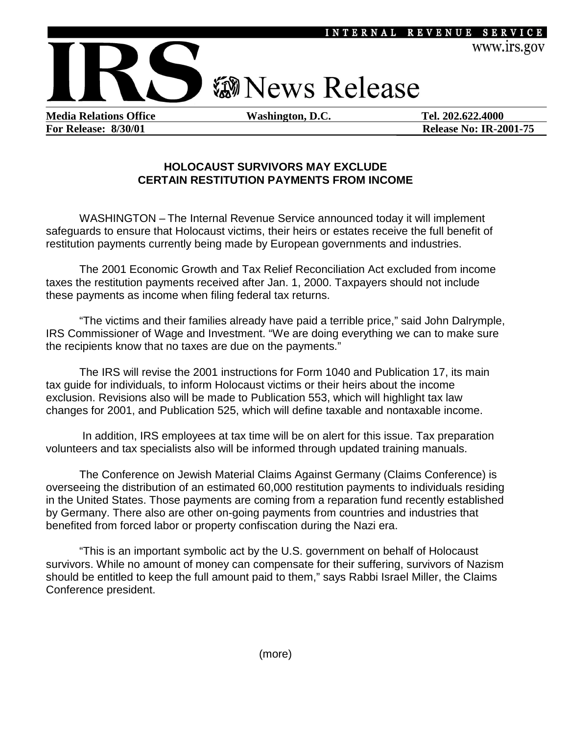

**For Release: 8/30/01 Release No: IR-2001-75** 

### **HOLOCAUST SURVIVORS MAY EXCLUDE CERTAIN RESTITUTION PAYMENTS FROM INCOME**

WASHINGTON – The Internal Revenue Service announced today it will implement safeguards to ensure that Holocaust victims, their heirs or estates receive the full benefit of restitution payments currently being made by European governments and industries.

 The 2001 Economic Growth and Tax Relief Reconciliation Act excluded from income taxes the restitution payments received after Jan. 1, 2000. Taxpayers should not include these payments as income when filing federal tax returns.

"The victims and their families already have paid a terrible price," said John Dalrymple, IRS Commissioner of Wage and Investment. "We are doing everything we can to make sure the recipients know that no taxes are due on the payments."

The IRS will revise the 2001 instructions for Form 1040 and Publication 17, its main tax guide for individuals, to inform Holocaust victims or their heirs about the income exclusion. Revisions also will be made to Publication 553, which will highlight tax law changes for 2001, and Publication 525, which will define taxable and nontaxable income.

 In addition, IRS employees at tax time will be on alert for this issue. Tax preparation volunteers and tax specialists also will be informed through updated training manuals.

The Conference on Jewish Material Claims Against Germany (Claims Conference) is overseeing the distribution of an estimated 60,000 restitution payments to individuals residing in the United States. Those payments are coming from a reparation fund recently established by Germany. There also are other on-going payments from countries and industries that benefited from forced labor or property confiscation during the Nazi era.

"This is an important symbolic act by the U.S. government on behalf of Holocaust survivors. While no amount of money can compensate for their suffering, survivors of Nazism should be entitled to keep the full amount paid to them," says Rabbi Israel Miller, the Claims Conference president.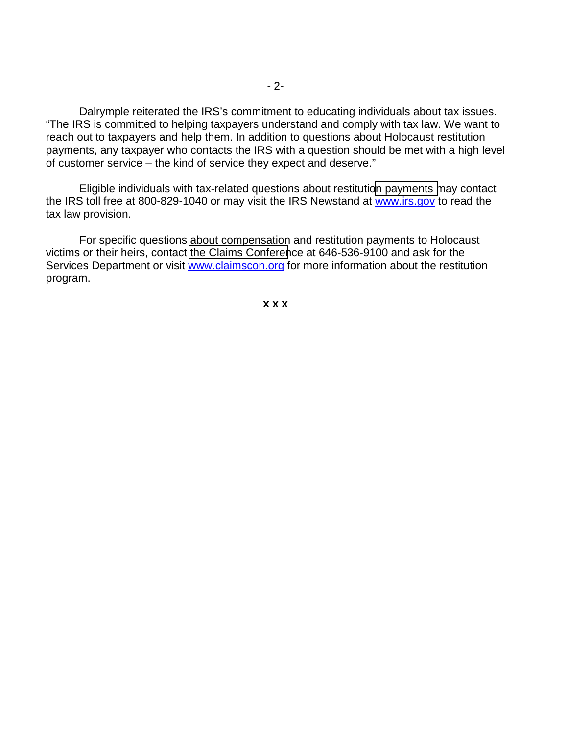Dalrymple reiterated the IRS's commitment to educating individuals about tax issues. "The IRS is committed to helping taxpayers understand and comply with tax law. We want to reach out to taxpayers and help them. In addition to questions about Holocaust restitution payments, any taxpayer who contacts the IRS with a question should be met with a high level of customer service – the kind of service they expect and deserve."

Eligible individuals with tax-related questions about restituti[on payments m](http://www.irs.gov/)ay contact the IRS toll free at 800-829-1040 or may visit the IRS Newstand at www.irs.gov to read the tax law provision.

For specific questions about compensation and restitution payments to Holocaust victims or their heirs, contact [the Claims Conferen](http://www.claimscon.org/)ce at 646-536-9100 and ask for the Services Department or visit www.claimscon.org for more information about the restitution program.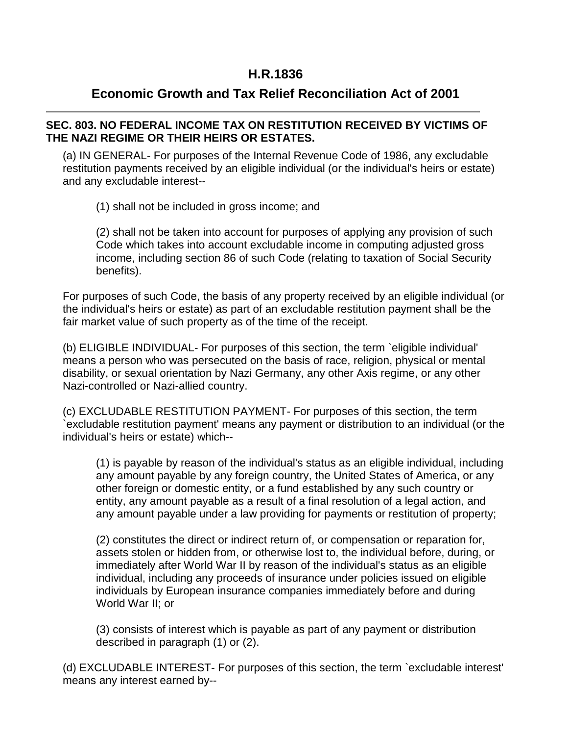## **H.R.1836**

# **Economic Growth and Tax Relief Reconciliation Act of 2001**

## **SEC. 803. NO FEDERAL INCOME TAX ON RESTITUTION RECEIVED BY VICTIMS OF THE NAZI REGIME OR THEIR HEIRS OR ESTATES.**

(a) IN GENERAL- For purposes of the Internal Revenue Code of 1986, any excludable restitution payments received by an eligible individual (or the individual's heirs or estate) and any excludable interest--

(1) shall not be included in gross income; and

(2) shall not be taken into account for purposes of applying any provision of such Code which takes into account excludable income in computing adjusted gross income, including section 86 of such Code (relating to taxation of Social Security benefits).

For purposes of such Code, the basis of any property received by an eligible individual (or the individual's heirs or estate) as part of an excludable restitution payment shall be the fair market value of such property as of the time of the receipt.

(b) ELIGIBLE INDIVIDUAL- For purposes of this section, the term `eligible individual' means a person who was persecuted on the basis of race, religion, physical or mental disability, or sexual orientation by Nazi Germany, any other Axis regime, or any other Nazi-controlled or Nazi-allied country.

(c) EXCLUDABLE RESTITUTION PAYMENT- For purposes of this section, the term `excludable restitution payment' means any payment or distribution to an individual (or the individual's heirs or estate) which--

(1) is payable by reason of the individual's status as an eligible individual, including any amount payable by any foreign country, the United States of America, or any other foreign or domestic entity, or a fund established by any such country or entity, any amount payable as a result of a final resolution of a legal action, and any amount payable under a law providing for payments or restitution of property;

(2) constitutes the direct or indirect return of, or compensation or reparation for, assets stolen or hidden from, or otherwise lost to, the individual before, during, or immediately after World War II by reason of the individual's status as an eligible individual, including any proceeds of insurance under policies issued on eligible individuals by European insurance companies immediately before and during World War II; or

(3) consists of interest which is payable as part of any payment or distribution described in paragraph (1) or (2).

(d) EXCLUDABLE INTEREST- For purposes of this section, the term `excludable interest' means any interest earned by--